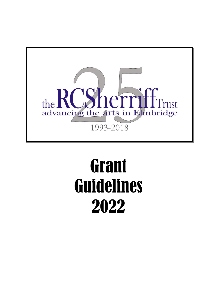

# **Grant** Guidelines 2022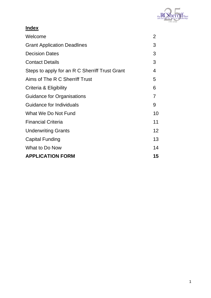

| <b>Index</b>                                   |                 |
|------------------------------------------------|-----------------|
| Welcome                                        | 2               |
| <b>Grant Application Deadlines</b>             | 3               |
| <b>Decision Dates</b>                          | 3               |
| <b>Contact Details</b>                         | 3               |
| Steps to apply for an R C Sherriff Trust Grant | 4               |
| Aims of The R C Sherriff Trust                 | 5               |
| Criteria & Eligibility                         | 6               |
| <b>Guidance for Organisations</b>              | 7               |
| Guidance for Individuals                       | 9               |
| What We Do Not Fund                            | 10              |
| <b>Financial Criteria</b>                      | 11              |
| <b>Underwriting Grants</b>                     | 12 <sup>2</sup> |
| <b>Capital Funding</b>                         | 13              |
| What to Do Now                                 | 14              |
| <b>APPLICATION FORM</b>                        | 15              |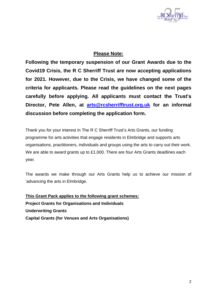

# **Please Note:**

**Following the temporary suspension of our Grant Awards due to the Covid19 Crisis, the R C Sherriff Trust are now accepting applications for 2021. However, due to the Crisis, we have changed some of the criteria for applicants. Please read the guidelines on the next pages carefully before applying. All applicants must contact the Trust's Director, Pete Allen, at [arts@rcsherrifftrust.org.uk](mailto:arts@rcsherrifftrust.org.uk) for an informal discussion before completing the application form.**

Thank you for your interest in The R C Sherriff Trust's Arts Grants, our funding programme for arts activities that engage residents in Elmbridge and supports arts organisations, practitioners, individuals and groups using the arts to carry out their work. We are able to award grants up to £1,000. There are four Arts Grants deadlines each year.

The awards we make through our Arts Grants help us to achieve our mission of 'advancing the arts in Elmbridge.

**This Grant Pack applies to the following grant schemes: Project Grants for Organisations and Individuals Underwriting Grants Capital Grants (for Venues and Arts Organisations)**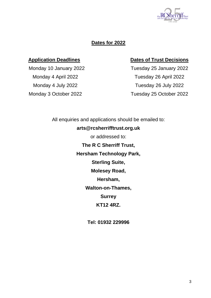

# **Dates for 2022**

## **Application Deadlines Dates of Trust Decisions**

Monday 10 January 2022 Tuesday 25 January 2022 Monday 4 April 2022 Tuesday 26 April 2022 Monday 4 July 2022 Tuesday 26 July 2022 Monday 3 October 2022 Tuesday 25 October 2022

> All enquiries and applications should be emailed to: **arts@rcsherrifftrust.org.uk** or addressed to: **The R C Sherriff Trust, Hersham Technology Park, Sterling Suite, Molesey Road, Hersham, Walton-on-Thames, Surrey KT12 4RZ.**

> > **Tel: 01932 229996**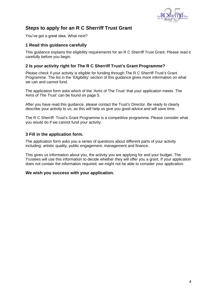

# **Steps to apply for an R C Sherriff Trust Grant**

You've got a great idea. What next?

#### **1 Read this guidance carefully**

This guidance explains the eligibility requirements for an R C Sherriff Trust Grant. Please read it carefully before you begin.

#### **2 Is your activity right for The R C Sherriff Trust's Grant Programme?**

Please check if your activity is eligible for funding through The R C Sherriff Trust's Grant Programme. The list in the 'Eligibility' section of this guidance gives more information on what we can and cannot fund.

The application form asks which of the 'Aims of The Trust' that your application meets. The Aims of The Trust' can be found on page 5.

After you have read this guidance, please contact the Trust's Director. Be ready to clearly describe your activity to us, as this will help us give you good advice and will save time.

The R C Sherriff Trust's Grant Programme is a competitive programme. Please consider what you would do if we cannot fund your activity.

#### **3 Fill in the application form.**

The application form asks you a series of questions about different parts of your activity including: artistic quality, public engagement, management and finance.

This gives us information about you, the activity you are applying for and your budget. The Trustees will use this information to decide whether they will offer you a grant. If your application does not contain the information required, we might not be able to consider your application.

#### **We wish you success with your application.**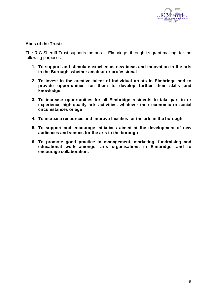

#### **Aims of the Trust:**

The R C Sherriff Trust supports the arts in Elmbridge, through its grant-making, for the following purposes:

- **1. To support and stimulate excellence, new ideas and innovation in the arts in the Borough, whether amateur or professional**
- **2. To invest in the creative talent of individual artists in Elmbridge and to provide opportunities for them to develop further their skills and knowledge**
- **3. To increase opportunities for all Elmbridge residents to take part in or experience high-quality arts activities, whatever their economic or social circumstances or age**
- **4. To increase resources and improve facilities for the arts in the borough**
- **5. To support and encourage initiatives aimed at the development of new audiences and venues for the arts in the borough**
- **6. To promote good practice in management, marketing, fundraising and educational work amongst arts organisations in Elmbridge, and to encourage collaboration.**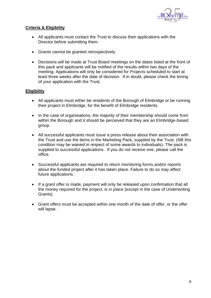

#### **Criteria & Eligibility**

- All applicants must contact the Trust to discuss their applications with the Director before submitting them.
- Grants cannot be granted retrospectively.
- Decisions will be made at Trust Board meetings on the dates listed at the front of this pack and applicants will be notified of the results within two days of the meeting. Applications will only be considered for Projects scheduled to start at least three weeks after the date of decision. If in doubt, please check the timing of your application with the Trust.

### **Eligibility**

- All applicants must either be residents of the Borough of Elmbridge or be running their project in Elmbridge, for the benefit of Elmbridge residents.
- In the case of organisations, the majority of their membership should come from within the Borough and it should be perceived that they are an Elmbridge-based group.
- All successful applicants must issue a press release about their association with the Trust and use the items in the Marketing Pack, supplied by the Trust. (NB this condition may be waived in respect of some awards to individuals). The pack is supplied to successful applications. If you do not receive one, please call the office.
- Successful applicants are required to return monitoring forms and/or reports about the funded project after it has taken place. Failure to do so may affect future applications.
- If a grant offer is made, payment will only be released upon confirmation that all the money required for the project, is in place (except in the case of Underwriting Grants).
- Grant offers must be accepted within one month of the date of offer, or the offer will lapse.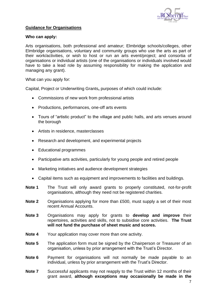

#### **Guidance for Organisations**

#### **Who can apply:**

Arts organisations, both professional and amateur; Elmbridge schools/colleges, other Elmbridge organisations, voluntary and community groups who use the arts as part of their work/activities, or wish to host or run an arts event/project; and consortia of organisations or individual artists (one of the organisations or individuals involved would have to take a lead role by assuming responsibility for making the application and managing any grant).

What can you apply for:

Capital, Project or Underwriting Grants**,** purposes of which could include:

- Commissions of new work from professional artists
- Productions, performances, one-off arts events
- Tours of "artistic product" to the village and public halls, and arts venues around the borough
- Artists in residence, masterclasses
- Research and development, and experimental projects
- Educational programmes
- Participative arts activities, particularly for young people and retired people
- Marketing initiatives and audience development strategies
- Capital items such as equipment and improvements to facilities and buildings.
- **Note 1** The Trust will only award grants to properly constituted, not-for-profit organisations, although they need not be registered charities.
- **Note 2** Organisations applying for more than £500, must supply a set of their most recent Annual Accounts.
- **Note 3** Organisations may apply for grants to **develop and improve** their repertoires, activities and skills, not to subsidise core activities. **The Trust will not fund the purchase of sheet music and scores.**
- **Note 4** Your application may cover more than one activity.
- **Note 5** The application form must be signed by the Chairperson or Treasurer of an organisation, unless by prior arrangement with the Trust's Director.
- **Note 6** Payment for organisations will not normally be made payable to an individual, unless by prior arrangement with the Trust's Director.
- **Note 7** Successful applicants may not reapply to the Trust within 12 months of their grant award, **although exceptions may occasionally be made in the**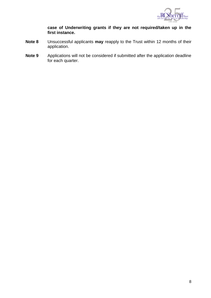

**case of Underwriting grants if they are not required/taken up in the first instance.**

- **Note 8** Unsuccessful applicants **may** reapply to the Trust within 12 months of their application.
- **Note 9** Applications will not be considered if submitted after the application deadline for each quarter.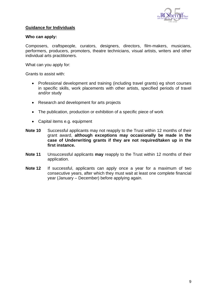

#### **Guidance for Individuals**

#### **Who can apply:**

Composers, craftspeople, curators, designers, directors, film-makers, musicians, performers, producers, promoters, theatre technicians, visual artists, writers and other individual arts practitioners.

What can you apply for:

Grants to assist with:

- Professional development and training (including travel grants) eg short courses in specific skills, work placements with other artists, specified periods of travel and/or study
- Research and development for arts projects
- The publication, production or exhibition of a specific piece of work
- Capital items e.g. equipment
- **Note 10** Successful applicants may not reapply to the Trust within 12 months of their grant award, **although exceptions may occasionally be made in the case of Underwriting grants if they are not required/taken up in the first instance.**
- **Note 11** Unsuccessful applicants **may** reapply to the Trust within 12 months of their application.
- **Note 12** If successful, applicants can apply once a year for a maximum of two consecutive years, after which they must wait at least one complete financial year (January – December) before applying again.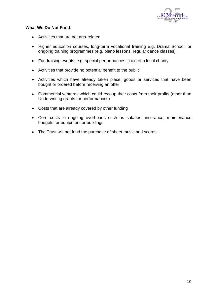

#### **What We Do Not Fund:**

- Activities that are not arts-related
- Higher education courses, long-term vocational training e.g. Drama School, or ongoing training programmes (e.g. piano lessons, regular dance classes).
- Fundraising events, e.g. special performances in aid of a local charity
- Activities that provide no potential benefit to the public
- Activities which have already taken place; goods or services that have been bought or ordered before receiving an offer
- Commercial ventures which could recoup their costs from their profits (other than Underwriting grants for performances)
- Costs that are already covered by other funding
- Core costs ie ongoing overheads such as salaries, insurance, maintenance budgets for equipment or buildings
- The Trust will not fund the purchase of sheet music and scores.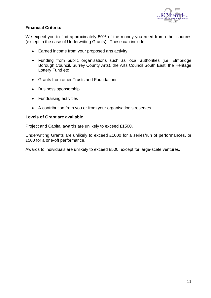

#### **Financial Criteria:**

We expect you to find approximately 50% of the money you need from other sources (except in the case of Underwriting Grants). These can include:

- Earned income from your proposed arts activity
- Funding from public organisations such as local authorities (i.e. Elmbridge Borough Council, Surrey County Arts), the Arts Council South East, the Heritage Lottery Fund etc
- Grants from other Trusts and Foundations
- Business sponsorship
- Fundraising activities
- A contribution from you or from your organisation's reserves

#### **Levels of Grant are available**

Project and Capital awards are unlikely to exceed £1500.

Underwriting Grants are unlikely to exceed £1000 for a series/run of performances, or £500 for a one-off performance.

Awards to individuals are unlikely to exceed £500, except for large-scale ventures.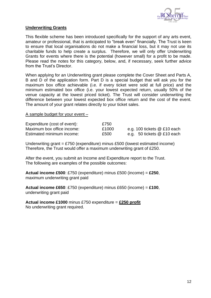

#### **Underwriting Grants**

This flexible scheme has been introduced specifically for the support of any arts event, amateur or professional, that is anticipated to "break even" financially. The Trust is keen to ensure that local organisations do not make a financial loss, but it may not use its charitable funds to help create a surplus. Therefore, we will only offer Underwriting Grants for events where there is the potential (however small) for a profit to be made. Please read the notes for this category, below, and, if necessary, seek further advice from the Trust's Director.

When applying for an Underwriting grant please complete the Cover Sheet and Parts A, B and D of the application form. Part D is a special budget that will ask you for the maximum box office achievable (i.e. if every ticket were sold at full price) and the minimum estimated box office (i.e. your lowest expected return, usually 50% of the venue capacity at the lowest priced ticket). The Trust will consider underwriting the difference between your lowest expected box office return and the cost of the event. The amount of your grant relates directly to your ticket sales.

#### A sample budget for your event –

| Expenditure (cost of event): | £750  |                               |
|------------------------------|-------|-------------------------------|
| Maximum box office income:   | £1000 | e.g. 100 tickets $@$ £10 each |
| Estimated minimum income:    | £500  | e.g. 50 tickets $@$ £10 each  |

Underwriting grant = £750 (expenditure) minus £500 (lowest estimated income) Therefore, the Trust would offer a maximum underwriting grant of £250.

After the event, you submit an Income and Expenditure report to the Trust. The following are examples of the possible outcomes:

**Actual income £500**: £750 (expenditure) minus £500 (income) = **£250**, maximum underwriting grant paid

**Actual income £650**: £750 (expenditure) minus £650 (income) = **£100**, underwriting grant paid

**Actual income £1000** minus £750 expenditure = **£250 profit** No underwriting grant required.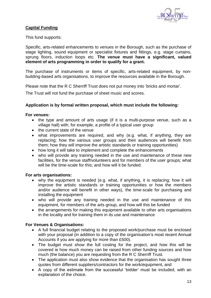

### **Capital Funding**

This fund supports:

Specific, arts-related enhancements to venues in the Borough, such as the purchase of stage lighting, sound equipment or specialist fixtures and fittings, e.g. stage curtains, sprung floors, induction loops etc. **The venue must have a significant, valued element of arts programming in order to qualify for a grant.**

The purchase of instruments or items of specific, arts-related equipment, by nonbuilding-based arts organisations, to improve the resources available in the Borough.

Please note that the R C Sherriff Trust does not put money into 'bricks and mortar'.

The Trust will not fund the purchase of sheet music and scores.

#### **Application is by formal written proposal, which must include the following:**

#### **For venues:**

- the type and amount of arts usage (if it is a multi-purpose venue, such as a village hall) with, for example, a profile of a typical user group
- the current state of the venue
- what improvements are required, and why (e.g. what, if anything, they are replacing; how the various user groups and their audiences will benefit from them; how they will improve the artistic standards or training opportunities)
- how long it will take to implement and complete the enhancements
- who will provide any training needed in the use and maintenance of these new facilities, for the venue staff/volunteers and for members of the user groups; what will be the time-scale for this; and how will it be funded.

#### **For arts organisations:**

- why the equipment is needed (e.g. what, if anything, it is replacing; how it will improve the artistic standards or training opportunities or how the members and/or audience will benefit in other ways), the time-scale for purchasing and installing the equipment
- who will provide any training needed in the use and maintenance of this equipment, for members of the arts group, and how will this be funded
- the arrangements for making this equipment available to other arts organisations in the locality and for training them in its use and maintenance

#### **For Venues & Organisations:**

- A full financial budget relating to the proposed work/purchase must be enclosed with your proposal (in addition to a copy of the organisation's most recent Annual Accounts if you are applying for more than £500).
- The budget must show the full costing for the project, and how this will be covered ie how much money can be raised from other funding sources and how much (the balance) you are requesting from the R C Sherriff Trust.
- The application must also show evidence that the organisation has sought three quotes from different suppliers/contractors for the work/equipment, and
- A copy of the estimate from the successful 'bidder' must be included, with an explanation of the choice.